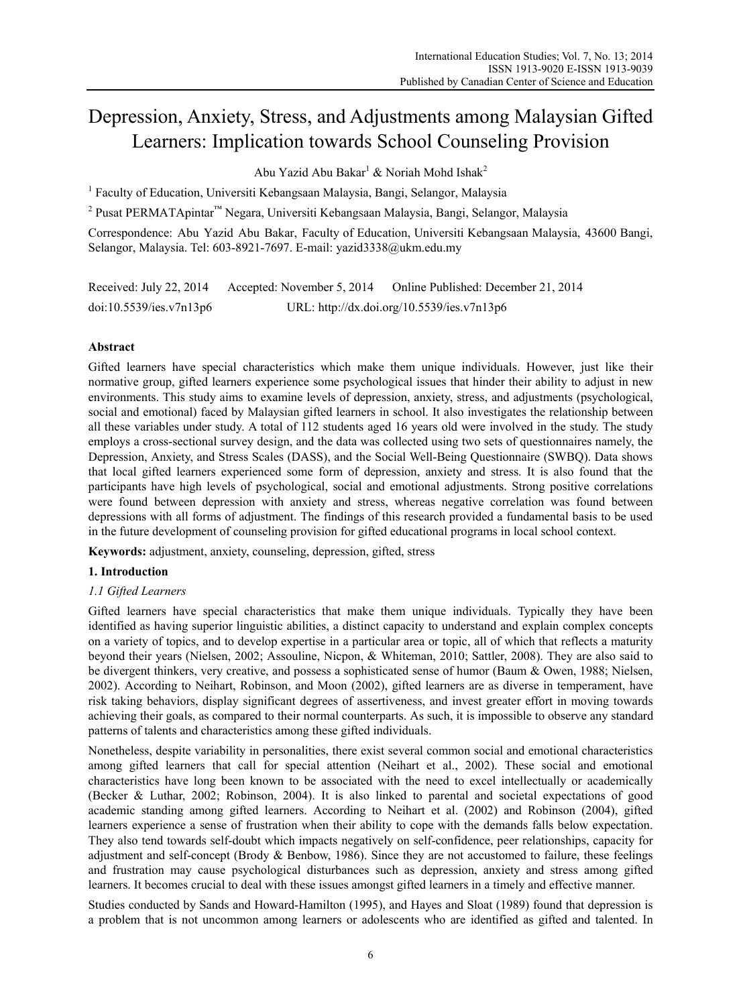# Depression, Anxiety, Stress, and Adjustments among Malaysian Gifted Learners: Implication towards School Counseling Provision

Abu Yazid Abu Bakar<sup>1</sup> & Noriah Mohd Ishak<sup>2</sup>

<sup>1</sup> Faculty of Education, Universiti Kebangsaan Malaysia, Bangi, Selangor, Malaysia

<sup>2</sup> Pusat PERMATApintar<sup>™</sup> Negara, Universiti Kebangsaan Malaysia, Bangi, Selangor, Malaysia

Correspondence: Abu Yazid Abu Bakar, Faculty of Education, Universiti Kebangsaan Malaysia, 43600 Bangi, Selangor, Malaysia. Tel: 603-8921-7697. E-mail: yazid3338@ukm.edu.my

Received: July 22, 2014 Accepted: November 5, 2014 Online Published: December 21, 2014 doi:10.5539/ies.v7n13p6 URL: http://dx.doi.org/10.5539/ies.v7n13p6

# **Abstract**

Gifted learners have special characteristics which make them unique individuals. However, just like their normative group, gifted learners experience some psychological issues that hinder their ability to adjust in new environments. This study aims to examine levels of depression, anxiety, stress, and adjustments (psychological, social and emotional) faced by Malaysian gifted learners in school. It also investigates the relationship between all these variables under study. A total of 112 students aged 16 years old were involved in the study. The study employs a cross-sectional survey design, and the data was collected using two sets of questionnaires namely, the Depression, Anxiety, and Stress Scales (DASS), and the Social Well-Being Questionnaire (SWBQ). Data shows that local gifted learners experienced some form of depression, anxiety and stress. It is also found that the participants have high levels of psychological, social and emotional adjustments. Strong positive correlations were found between depression with anxiety and stress, whereas negative correlation was found between depressions with all forms of adjustment. The findings of this research provided a fundamental basis to be used in the future development of counseling provision for gifted educational programs in local school context.

**Keywords:** adjustment, anxiety, counseling, depression, gifted, stress

# **1. Introduction**

# *1.1 Gifted Learners*

Gifted learners have special characteristics that make them unique individuals. Typically they have been identified as having superior linguistic abilities, a distinct capacity to understand and explain complex concepts on a variety of topics, and to develop expertise in a particular area or topic, all of which that reflects a maturity beyond their years (Nielsen, 2002; Assouline, Nicpon, & Whiteman, 2010; Sattler, 2008). They are also said to be divergent thinkers, very creative, and possess a sophisticated sense of humor (Baum & Owen, 1988; Nielsen, 2002). According to Neihart, Robinson, and Moon (2002), gifted learners are as diverse in temperament, have risk taking behaviors, display significant degrees of assertiveness, and invest greater effort in moving towards achieving their goals, as compared to their normal counterparts. As such, it is impossible to observe any standard patterns of talents and characteristics among these gifted individuals.

Nonetheless, despite variability in personalities, there exist several common social and emotional characteristics among gifted learners that call for special attention (Neihart et al., 2002). These social and emotional characteristics have long been known to be associated with the need to excel intellectually or academically (Becker & Luthar, 2002; Robinson, 2004). It is also linked to parental and societal expectations of good academic standing among gifted learners. According to Neihart et al. (2002) and Robinson (2004), gifted learners experience a sense of frustration when their ability to cope with the demands falls below expectation. They also tend towards self-doubt which impacts negatively on self-confidence, peer relationships, capacity for adjustment and self-concept (Brody  $&$  Benbow, 1986). Since they are not accustomed to failure, these feelings and frustration may cause psychological disturbances such as depression, anxiety and stress among gifted learners. It becomes crucial to deal with these issues amongst gifted learners in a timely and effective manner.

Studies conducted by Sands and Howard-Hamilton (1995), and Hayes and Sloat (1989) found that depression is a problem that is not uncommon among learners or adolescents who are identified as gifted and talented. In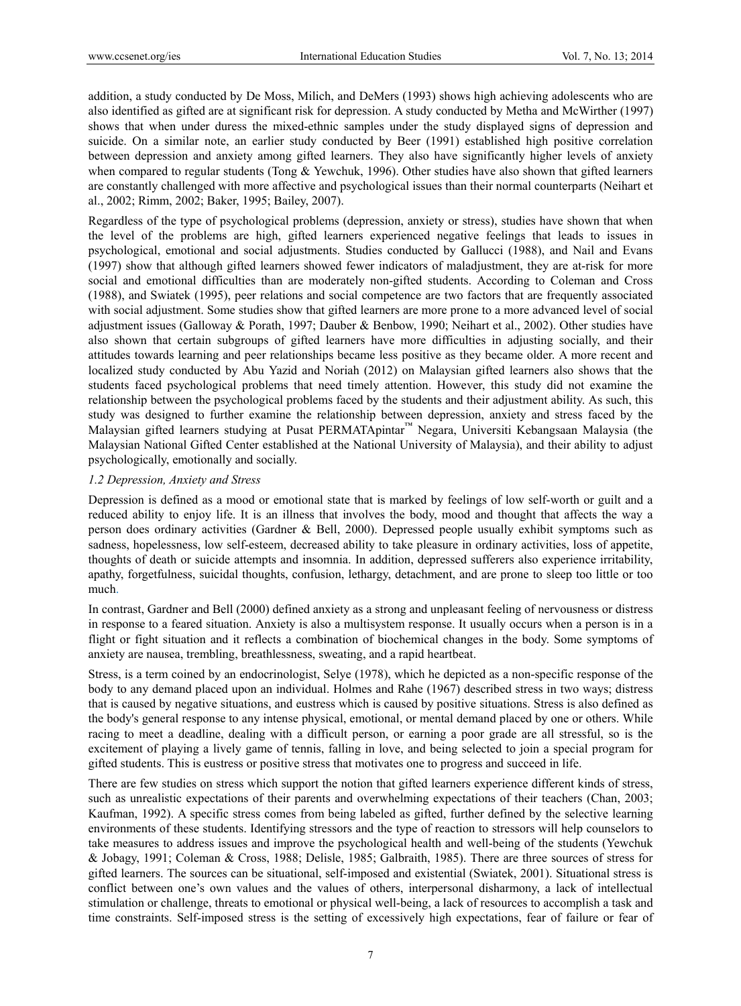addition, a study conducted by De Moss, Milich, and DeMers (1993) shows high achieving adolescents who are also identified as gifted are at significant risk for depression. A study conducted by Metha and McWirther (1997) shows that when under duress the mixed-ethnic samples under the study displayed signs of depression and suicide. On a similar note, an earlier study conducted by Beer (1991) established high positive correlation between depression and anxiety among gifted learners. They also have significantly higher levels of anxiety when compared to regular students (Tong & Yewchuk, 1996). Other studies have also shown that gifted learners are constantly challenged with more affective and psychological issues than their normal counterparts (Neihart et al., 2002; Rimm, 2002; Baker, 1995; Bailey, 2007).

Regardless of the type of psychological problems (depression, anxiety or stress), studies have shown that when the level of the problems are high, gifted learners experienced negative feelings that leads to issues in psychological, emotional and social adjustments. Studies conducted by Gallucci (1988), and Nail and Evans (1997) show that although gifted learners showed fewer indicators of maladjustment, they are at-risk for more social and emotional difficulties than are moderately non-gifted students. According to Coleman and Cross (1988), and Swiatek (1995), peer relations and social competence are two factors that are frequently associated with social adjustment. Some studies show that gifted learners are more prone to a more advanced level of social adjustment issues (Galloway & Porath, 1997; Dauber & Benbow, 1990; Neihart et al., 2002). Other studies have also shown that certain subgroups of gifted learners have more difficulties in adjusting socially, and their attitudes towards learning and peer relationships became less positive as they became older. A more recent and localized study conducted by Abu Yazid and Noriah (2012) on Malaysian gifted learners also shows that the students faced psychological problems that need timely attention. However, this study did not examine the relationship between the psychological problems faced by the students and their adjustment ability. As such, this study was designed to further examine the relationship between depression, anxiety and stress faced by the Malaysian gifted learners studying at Pusat PERMATApintar™ Negara, Universiti Kebangsaan Malaysia (the Malaysian National Gifted Center established at the National University of Malaysia), and their ability to adjust psychologically, emotionally and socially.

#### *1.2 Depression, Anxiety and Stress*

Depression is defined as a mood or emotional state that is marked by feelings of low self-worth or guilt and a reduced ability to enjoy life. It is an illness that involves the body, mood and thought that affects the way a person does ordinary activities (Gardner & Bell, 2000). Depressed people usually exhibit symptoms such as sadness, hopelessness, low self-esteem, decreased ability to take pleasure in ordinary activities, loss of appetite, thoughts of death or suicide attempts and insomnia. In addition, depressed sufferers also experience irritability, apathy, forgetfulness, suicidal thoughts, confusion, lethargy, detachment, and are prone to sleep too little or too much.

In contrast, Gardner and Bell (2000) defined anxiety as a strong and unpleasant feeling of nervousness or distress in response to a feared situation. Anxiety is also a multisystem response. It usually occurs when a person is in a flight or fight situation and it reflects a combination of biochemical changes in the body. Some symptoms of anxiety are nausea, trembling, breathlessness, sweating, and a rapid heartbeat.

Stress, is a term coined by an endocrinologist, Selye (1978), which he depicted as a non-specific response of the body to any demand placed upon an individual. Holmes and Rahe (1967) described stress in two ways; distress that is caused by negative situations, and eustress which is caused by positive situations. Stress is also defined as the body's general response to any intense physical, emotional, or mental demand placed by one or others. While racing to meet a deadline, dealing with a difficult person, or earning a poor grade are all stressful, so is the excitement of playing a lively game of tennis, falling in love, and being selected to join a special program for gifted students. This is eustress or positive stress that motivates one to progress and succeed in life.

There are few studies on stress which support the notion that gifted learners experience different kinds of stress, such as unrealistic expectations of their parents and overwhelming expectations of their teachers (Chan, 2003; Kaufman, 1992). A specific stress comes from being labeled as gifted, further defined by the selective learning environments of these students. Identifying stressors and the type of reaction to stressors will help counselors to take measures to address issues and improve the psychological health and well-being of the students (Yewchuk & Jobagy, 1991; Coleman & Cross, 1988; Delisle, 1985; Galbraith, 1985). There are three sources of stress for gifted learners. The sources can be situational, self-imposed and existential (Swiatek, 2001). Situational stress is conflict between one's own values and the values of others, interpersonal disharmony, a lack of intellectual stimulation or challenge, threats to emotional or physical well-being, a lack of resources to accomplish a task and time constraints. Self-imposed stress is the setting of excessively high expectations, fear of failure or fear of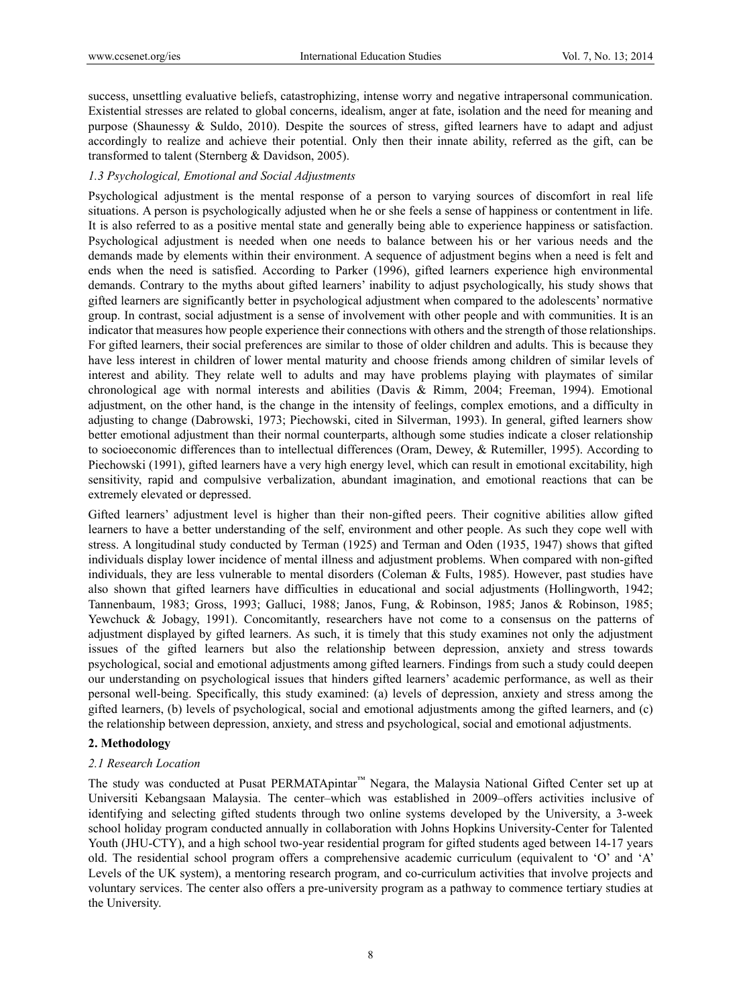success, unsettling evaluative beliefs, catastrophizing, intense worry and negative intrapersonal communication. Existential stresses are related to global concerns, idealism, anger at fate, isolation and the need for meaning and purpose (Shaunessy & Suldo, 2010). Despite the sources of stress, gifted learners have to adapt and adjust accordingly to realize and achieve their potential. Only then their innate ability, referred as the gift, can be transformed to talent (Sternberg & Davidson, 2005).

## *1.3 Psychological, Emotional and Social Adjustments*

Psychological adjustment is the mental response of a person to varying sources of discomfort in real life situations. A person is psychologically adjusted when he or she feels a sense of happiness or contentment in life. It is also referred to as a positive mental state and generally being able to experience happiness or satisfaction. Psychological adjustment is needed when one needs to balance between his or her various needs and the demands made by elements within their environment. A sequence of adjustment begins when a need is felt and ends when the need is satisfied. According to Parker (1996), gifted learners experience high environmental demands. Contrary to the myths about gifted learners' inability to adjust psychologically, his study shows that gifted learners are significantly better in psychological adjustment when compared to the adolescents' normative group. In contrast, social adjustment is a sense of involvement with other people and with communities. It is an indicator that measures how people experience their connections with others and the strength of those relationships. For gifted learners, their social preferences are similar to those of older children and adults. This is because they have less interest in children of lower mental maturity and choose friends among children of similar levels of interest and ability. They relate well to adults and may have problems playing with playmates of similar chronological age with normal interests and abilities (Davis & Rimm, 2004; Freeman, 1994). Emotional adjustment, on the other hand, is the change in the intensity of feelings, complex emotions, and a difficulty in adjusting to change (Dabrowski, 1973; Piechowski, cited in Silverman, 1993). In general, gifted learners show better emotional adjustment than their normal counterparts, although some studies indicate a closer relationship to socioeconomic differences than to intellectual differences (Oram, Dewey, & Rutemiller, 1995). According to Piechowski (1991), gifted learners have a very high energy level, which can result in emotional excitability, high sensitivity, rapid and compulsive verbalization, abundant imagination, and emotional reactions that can be extremely elevated or depressed.

Gifted learners' adjustment level is higher than their non-gifted peers. Their cognitive abilities allow gifted learners to have a better understanding of the self, environment and other people. As such they cope well with stress. A longitudinal study conducted by Terman (1925) and Terman and Oden (1935, 1947) shows that gifted individuals display lower incidence of mental illness and adjustment problems. When compared with non-gifted individuals, they are less vulnerable to mental disorders (Coleman & Fults, 1985). However, past studies have also shown that gifted learners have difficulties in educational and social adjustments (Hollingworth, 1942; Tannenbaum, 1983; Gross, 1993; Galluci, 1988; Janos, Fung, & Robinson, 1985; Janos & Robinson, 1985; Yewchuck & Jobagy, 1991). Concomitantly, researchers have not come to a consensus on the patterns of adjustment displayed by gifted learners. As such, it is timely that this study examines not only the adjustment issues of the gifted learners but also the relationship between depression, anxiety and stress towards psychological, social and emotional adjustments among gifted learners. Findings from such a study could deepen our understanding on psychological issues that hinders gifted learners' academic performance, as well as their personal well-being. Specifically, this study examined: (a) levels of depression, anxiety and stress among the gifted learners, (b) levels of psychological, social and emotional adjustments among the gifted learners, and (c) the relationship between depression, anxiety, and stress and psychological, social and emotional adjustments.

# **2. Methodology**

#### *2.1 Research Location*

The study was conducted at Pusat PERMATApintar™ Negara, the Malaysia National Gifted Center set up at Universiti Kebangsaan Malaysia. The center–which was established in 2009–offers activities inclusive of identifying and selecting gifted students through two online systems developed by the University, a 3-week school holiday program conducted annually in collaboration with Johns Hopkins University-Center for Talented Youth (JHU-CTY), and a high school two-year residential program for gifted students aged between 14-17 years old. The residential school program offers a comprehensive academic curriculum (equivalent to 'O' and 'A' Levels of the UK system), a mentoring research program, and co-curriculum activities that involve projects and voluntary services. The center also offers a pre-university program as a pathway to commence tertiary studies at the University.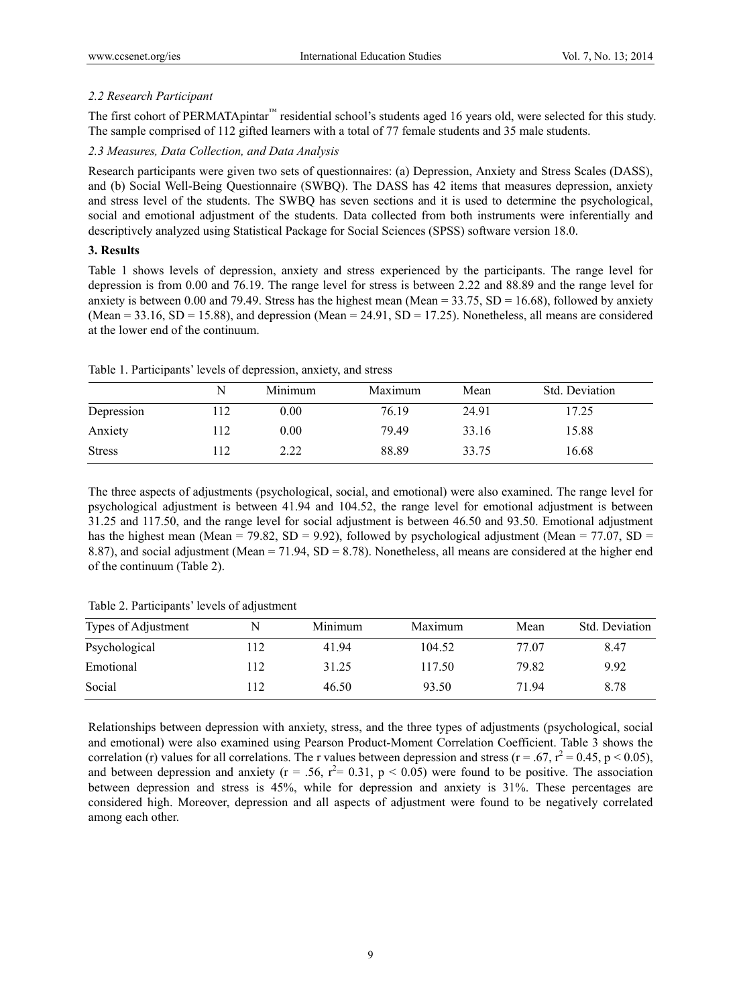## *2.2 Research Participant*

The first cohort of PERMATApintar™ residential school's students aged 16 years old, were selected for this study. The sample comprised of 112 gifted learners with a total of 77 female students and 35 male students.

## *2.3 Measures, Data Collection, and Data Analysis*

Research participants were given two sets of questionnaires: (a) Depression, Anxiety and Stress Scales (DASS), and (b) Social Well-Being Questionnaire (SWBQ). The DASS has 42 items that measures depression, anxiety and stress level of the students. The SWBQ has seven sections and it is used to determine the psychological, social and emotional adjustment of the students. Data collected from both instruments were inferentially and descriptively analyzed using Statistical Package for Social Sciences (SPSS) software version 18.0.

## **3. Results**

Table 1 shows levels of depression, anxiety and stress experienced by the participants. The range level for depression is from 0.00 and 76.19. The range level for stress is between 2.22 and 88.89 and the range level for anxiety is between 0.00 and 79.49. Stress has the highest mean (Mean =  $33.75$ , SD =  $16.68$ ), followed by anxiety (Mean =  $33.16$ , SD =  $15.88$ ), and depression (Mean =  $24.91$ , SD =  $17.25$ ). Nonetheless, all means are considered at the lower end of the continuum.

|               | N   | Minimum | Maximum | Mean  | Std. Deviation |
|---------------|-----|---------|---------|-------|----------------|
| Depression    | 112 | 0.00    | 76.19   | 24.91 | 17.25          |
| Anxiety       | 112 | 0.00    | 79.49   | 33.16 | 15.88          |
| <b>Stress</b> | 112 | 2.22    | 88.89   | 33.75 | 16.68          |

Table 1. Participants' levels of depression, anxiety, and stress

The three aspects of adjustments (psychological, social, and emotional) were also examined. The range level for psychological adjustment is between 41.94 and 104.52, the range level for emotional adjustment is between 31.25 and 117.50, and the range level for social adjustment is between 46.50 and 93.50. Emotional adjustment has the highest mean (Mean = 79.82, SD = 9.92), followed by psychological adjustment (Mean = 77.07, SD = 8.87), and social adjustment (Mean = 71.94, SD = 8.78). Nonetheless, all means are considered at the higher end of the continuum (Table 2).

Table 2. Participants' levels of adjustment

| Types of Adjustment | N   | Minimum | Maximum | Mean  | Std. Deviation |
|---------------------|-----|---------|---------|-------|----------------|
| Psychological       | 112 | 41.94   | 104.52  | 77.07 | 8.47           |
| Emotional           | 112 | 31.25   | 117.50  | 79.82 | 9.92           |
| Social              | 12  | 46.50   | 93.50   | 71 94 | 8.78           |

Relationships between depression with anxiety, stress, and the three types of adjustments (psychological, social and emotional) were also examined using Pearson Product-Moment Correlation Coefficient. Table 3 shows the correlation (r) values for all correlations. The r values between depression and stress ( $r = .67$ ,  $r^2 = 0.45$ ,  $p < 0.05$ ), and between depression and anxiety ( $r = .56$ ,  $r^2 = 0.31$ ,  $p < 0.05$ ) were found to be positive. The association between depression and stress is 45%, while for depression and anxiety is 31%. These percentages are considered high. Moreover, depression and all aspects of adjustment were found to be negatively correlated among each other.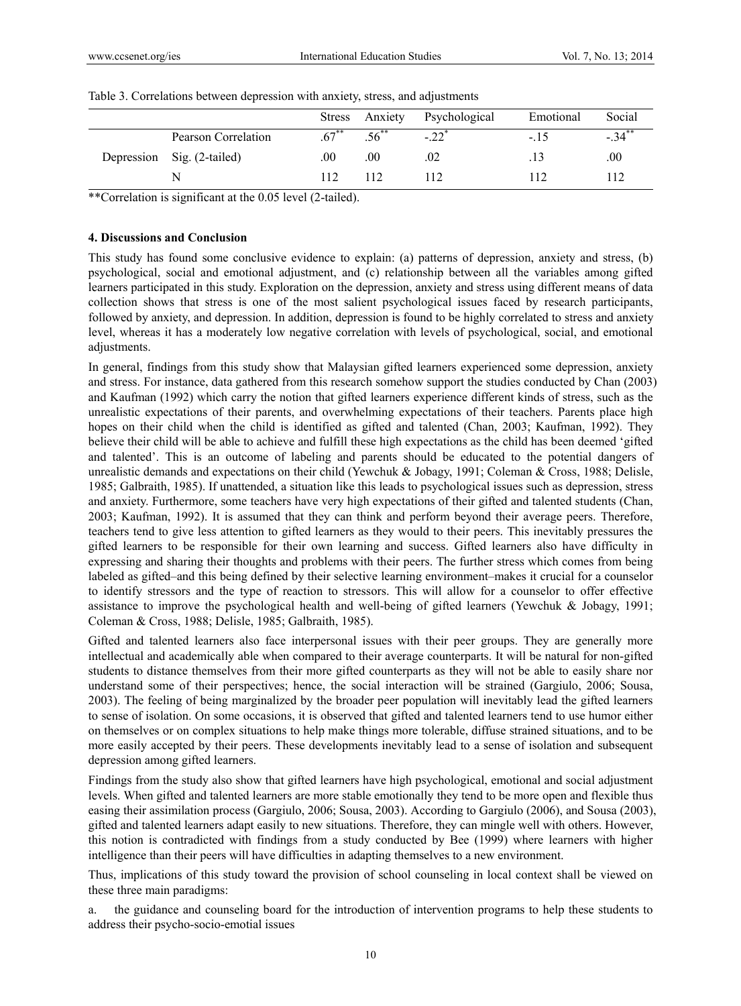|  |                            | Stress   | Anxiety | Psychological       | Emotional | Social              |
|--|----------------------------|----------|---------|---------------------|-----------|---------------------|
|  | Pearson Correlation        | $.67***$ |         | $-.22$ <sup>*</sup> | $-.15$    | $-.34$ <sup>*</sup> |
|  | Depression Sig. (2-tailed) | .00      | .00     | .02                 | . 13.     | .00                 |
|  |                            | 112      | 112     | 112                 | 112       | 112                 |

Table 3. Correlations between depression with anxiety, stress, and adjustments

\*\*Correlation is significant at the 0.05 level (2-tailed).

## **4. Discussions and Conclusion**

This study has found some conclusive evidence to explain: (a) patterns of depression, anxiety and stress, (b) psychological, social and emotional adjustment, and (c) relationship between all the variables among gifted learners participated in this study. Exploration on the depression, anxiety and stress using different means of data collection shows that stress is one of the most salient psychological issues faced by research participants, followed by anxiety, and depression. In addition, depression is found to be highly correlated to stress and anxiety level, whereas it has a moderately low negative correlation with levels of psychological, social, and emotional adjustments.

In general, findings from this study show that Malaysian gifted learners experienced some depression, anxiety and stress. For instance, data gathered from this research somehow support the studies conducted by Chan (2003) and Kaufman (1992) which carry the notion that gifted learners experience different kinds of stress, such as the unrealistic expectations of their parents, and overwhelming expectations of their teachers. Parents place high hopes on their child when the child is identified as gifted and talented (Chan, 2003; Kaufman, 1992). They believe their child will be able to achieve and fulfill these high expectations as the child has been deemed 'gifted and talented'. This is an outcome of labeling and parents should be educated to the potential dangers of unrealistic demands and expectations on their child (Yewchuk & Jobagy, 1991; Coleman & Cross, 1988; Delisle, 1985; Galbraith, 1985). If unattended, a situation like this leads to psychological issues such as depression, stress and anxiety. Furthermore, some teachers have very high expectations of their gifted and talented students (Chan, 2003; Kaufman, 1992). It is assumed that they can think and perform beyond their average peers. Therefore, teachers tend to give less attention to gifted learners as they would to their peers. This inevitably pressures the gifted learners to be responsible for their own learning and success. Gifted learners also have difficulty in expressing and sharing their thoughts and problems with their peers. The further stress which comes from being labeled as gifted–and this being defined by their selective learning environment–makes it crucial for a counselor to identify stressors and the type of reaction to stressors. This will allow for a counselor to offer effective assistance to improve the psychological health and well-being of gifted learners (Yewchuk & Jobagy, 1991; Coleman & Cross, 1988; Delisle, 1985; Galbraith, 1985).

Gifted and talented learners also face interpersonal issues with their peer groups. They are generally more intellectual and academically able when compared to their average counterparts. It will be natural for non-gifted students to distance themselves from their more gifted counterparts as they will not be able to easily share nor understand some of their perspectives; hence, the social interaction will be strained (Gargiulo, 2006; Sousa, 2003). The feeling of being marginalized by the broader peer population will inevitably lead the gifted learners to sense of isolation. On some occasions, it is observed that gifted and talented learners tend to use humor either on themselves or on complex situations to help make things more tolerable, diffuse strained situations, and to be more easily accepted by their peers. These developments inevitably lead to a sense of isolation and subsequent depression among gifted learners.

Findings from the study also show that gifted learners have high psychological, emotional and social adjustment levels. When gifted and talented learners are more stable emotionally they tend to be more open and flexible thus easing their assimilation process (Gargiulo, 2006; Sousa, 2003). According to Gargiulo (2006), and Sousa (2003), gifted and talented learners adapt easily to new situations. Therefore, they can mingle well with others. However, this notion is contradicted with findings from a study conducted by Bee (1999) where learners with higher intelligence than their peers will have difficulties in adapting themselves to a new environment.

Thus, implications of this study toward the provision of school counseling in local context shall be viewed on these three main paradigms:

a. the guidance and counseling board for the introduction of intervention programs to help these students to address their psycho-socio-emotial issues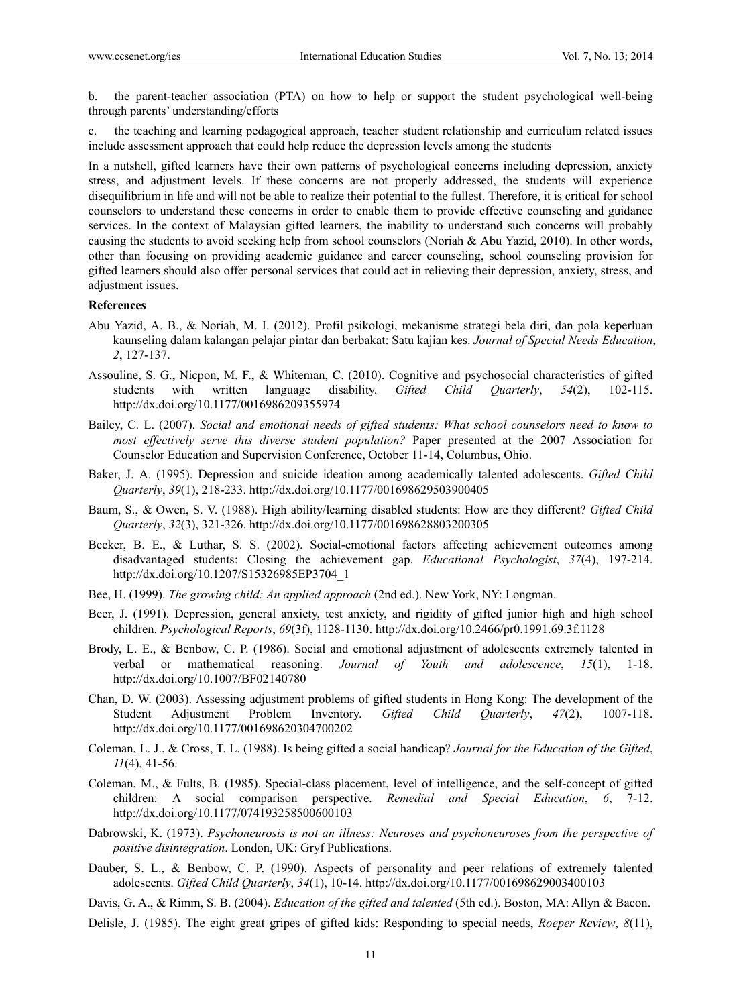b. the parent-teacher association (PTA) on how to help or support the student psychological well-being through parents' understanding/efforts

c. the teaching and learning pedagogical approach, teacher student relationship and curriculum related issues include assessment approach that could help reduce the depression levels among the students

In a nutshell, gifted learners have their own patterns of psychological concerns including depression, anxiety stress, and adjustment levels. If these concerns are not properly addressed, the students will experience disequilibrium in life and will not be able to realize their potential to the fullest. Therefore, it is critical for school counselors to understand these concerns in order to enable them to provide effective counseling and guidance services. In the context of Malaysian gifted learners, the inability to understand such concerns will probably causing the students to avoid seeking help from school counselors (Noriah & Abu Yazid, 2010). In other words, other than focusing on providing academic guidance and career counseling, school counseling provision for gifted learners should also offer personal services that could act in relieving their depression, anxiety, stress, and adjustment issues.

#### **References**

- Abu Yazid, A. B., & Noriah, M. I. (2012). Profil psikologi, mekanisme strategi bela diri, dan pola keperluan kaunseling dalam kalangan pelajar pintar dan berbakat: Satu kajian kes. *Journal of Special Needs Education*, *2*, 127-137.
- Assouline, S. G., Nicpon, M. F., & Whiteman, C. (2010). Cognitive and psychosocial characteristics of gifted students with written language disability. *Gifted Child Quarterly*, 54(2), 102-115. students with written language disability. *Gifted Child Quarterly*, *54*(2), 102-115. http://dx.doi.org/10.1177/0016986209355974
- Bailey, C. L. (2007). *Social and emotional needs of gifted students: What school counselors need to know to most effectively serve this diverse student population?* Paper presented at the 2007 Association for Counselor Education and Supervision Conference, October 11-14, Columbus, Ohio.
- Baker, J. A. (1995). Depression and suicide ideation among academically talented adolescents. *Gifted Child Quarterly*, *39*(1), 218-233. http://dx.doi.org/10.1177/001698629503900405
- Baum, S., & Owen, S. V. (1988). High ability/learning disabled students: How are they different? *Gifted Child Quarterly*, *32*(3), 321-326. http://dx.doi.org/10.1177/001698628803200305
- Becker, B. E., & Luthar, S. S. (2002). Social-emotional factors affecting achievement outcomes among disadvantaged students: Closing the achievement gap. *Educational Psychologist*, *37*(4), 197-214. http://dx.doi.org/10.1207/S15326985EP3704\_1
- Bee, H. (1999). *The growing child: An applied approach* (2nd ed.). New York, NY: Longman.
- Beer, J. (1991). Depression, general anxiety, test anxiety, and rigidity of gifted junior high and high school children. *Psychological Reports*, *69*(3f), 1128-1130. http://dx.doi.org/10.2466/pr0.1991.69.3f.1128
- Brody, L. E., & Benbow, C. P. (1986). Social and emotional adjustment of adolescents extremely talented in verbal or mathematical reasoning. *Journal of Youth and adolescence*, *15*(1), 1-18. http://dx.doi.org/10.1007/BF02140780
- Chan, D. W. (2003). Assessing adjustment problems of gifted students in Hong Kong: The development of the Student Adjustment Problem Inventory. *Gifted Child Quarterly*, *47*(2), 1007-118. http://dx.doi.org/10.1177/001698620304700202
- Coleman, L. J., & Cross, T. L. (1988). Is being gifted a social handicap? *Journal for the Education of the Gifted*, *11*(4), 41-56.
- Coleman, M., & Fults, B. (1985). Special-class placement, level of intelligence, and the self-concept of gifted children: A social comparison perspective. *Remedial and Special Education*, *6*, 7-12. http://dx.doi.org/10.1177/074193258500600103
- Dabrowski, K. (1973). *Psychoneurosis is not an illness: Neuroses and psychoneuroses from the perspective of positive disintegration*. London, UK: Gryf Publications.
- Dauber, S. L., & Benbow, C. P. (1990). Aspects of personality and peer relations of extremely talented adolescents. *Gifted Child Quarterly*, *34*(1), 10-14. http://dx.doi.org/10.1177/001698629003400103
- Davis, G. A., & Rimm, S. B. (2004). *Education of the gifted and talented* (5th ed.). Boston, MA: Allyn & Bacon.
- Delisle, J. (1985). The eight great gripes of gifted kids: Responding to special needs, *Roeper Review*, *8*(11),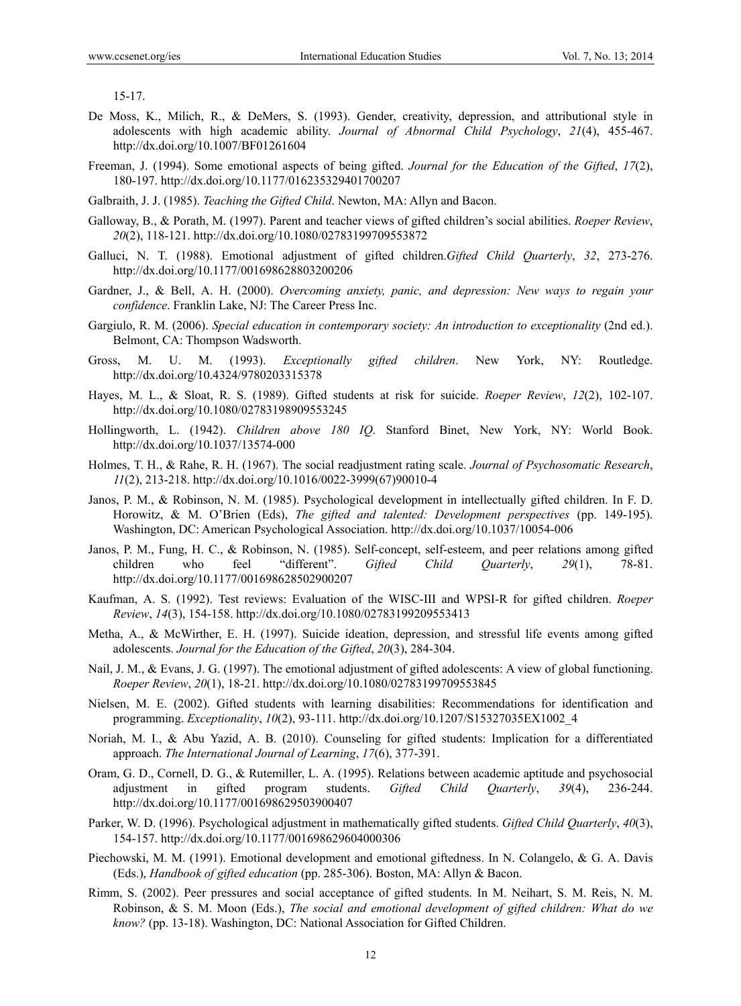15-17.

- De Moss, K., Milich, R., & DeMers, S. (1993). Gender, creativity, depression, and attributional style in adolescents with high academic ability. *Journal of Abnormal Child Psychology*, *21*(4), 455-467. http://dx.doi.org/10.1007/BF01261604
- Freeman, J. (1994). Some emotional aspects of being gifted. *Journal for the Education of the Gifted*, *17*(2), 180-197. http://dx.doi.org/10.1177/016235329401700207
- Galbraith, J. J. (1985). *Teaching the Gifted Child*. Newton, MA: Allyn and Bacon.
- Galloway, B., & Porath, M. (1997). Parent and teacher views of gifted children's social abilities. *Roeper Review*, *20*(2), 118-121. http://dx.doi.org/10.1080/02783199709553872
- Galluci, N. T. (1988). Emotional adjustment of gifted children.*Gifted Child Quarterly*, *32*, 273-276. http://dx.doi.org/10.1177/001698628803200206
- Gardner, J., & Bell, A. H. (2000). *Overcoming anxiety, panic, and depression: New ways to regain your confidence*. Franklin Lake, NJ: The Career Press Inc.
- Gargiulo, R. M. (2006). *Special education in contemporary society: An introduction to exceptionality* (2nd ed.). Belmont, CA: Thompson Wadsworth.
- Gross, M. U. M. (1993). *Exceptionally gifted children*. New York, NY: Routledge. http://dx.doi.org/10.4324/9780203315378
- Hayes, M. L., & Sloat, R. S. (1989). Gifted students at risk for suicide. *Roeper Review*, *12*(2), 102-107. http://dx.doi.org/10.1080/02783198909553245
- Hollingworth, L. (1942). *Children above 180 IQ*. Stanford Binet, New York, NY: World Book. http://dx.doi.org/10.1037/13574-000
- Holmes, T. H., & Rahe, R. H. (1967). The social readjustment rating scale. *Journal of Psychosomatic Research*, *11*(2), 213-218. http://dx.doi.org/10.1016/0022-3999(67)90010-4
- Janos, P. M., & Robinson, N. M. (1985). Psychological development in intellectually gifted children. In F. D. Horowitz, & M. O'Brien (Eds), *The gifted and talented: Development perspectives* (pp. 149-195). Washington, DC: American Psychological Association. http://dx.doi.org/10.1037/10054-006
- Janos, P. M., Fung, H. C., & Robinson, N. (1985). Self-concept, self-esteem, and peer relations among gifted children who feel "different". *Gifted Child Quarterly*, *29*(1), 78-81. http://dx.doi.org/10.1177/001698628502900207
- Kaufman, A. S. (1992). Test reviews: Evaluation of the WISC-III and WPSI-R for gifted children. *Roeper Review*, *14*(3), 154-158. http://dx.doi.org/10.1080/02783199209553413
- Metha, A., & McWirther, E. H. (1997). Suicide ideation, depression, and stressful life events among gifted adolescents. *Journal for the Education of the Gifted*, *20*(3), 284-304.
- Nail, J. M., & Evans, J. G. (1997). The emotional adjustment of gifted adolescents: A view of global functioning. *Roeper Review*, *20*(1), 18-21. http://dx.doi.org/10.1080/02783199709553845
- Nielsen, M. E. (2002). Gifted students with learning disabilities: Recommendations for identification and programming. *Exceptionality*, *10*(2), 93-111. http://dx.doi.org/10.1207/S15327035EX1002\_4
- Noriah, M. I., & Abu Yazid, A. B. (2010). Counseling for gifted students: Implication for a differentiated approach. *The International Journal of Learning*, *17*(6), 377-391.
- Oram, G. D., Cornell, D. G., & Rutemiller, L. A. (1995). Relations between academic aptitude and psychosocial adjustment in gifted program students. *Gifted Child Quarterly*, *39*(4), 236-244. http://dx.doi.org/10.1177/001698629503900407
- Parker, W. D. (1996). Psychological adjustment in mathematically gifted students. *Gifted Child Quarterly*, *40*(3), 154-157. http://dx.doi.org/10.1177/001698629604000306
- Piechowski, M. M. (1991). Emotional development and emotional giftedness. In N. Colangelo, & G. A. Davis (Eds.), *Handbook of gifted education* (pp. 285-306). Boston, MA: Allyn & Bacon.
- Rimm, S. (2002). Peer pressures and social acceptance of gifted students. In M. Neihart, S. M. Reis, N. M. Robinson, & S. M. Moon (Eds.), *The social and emotional development of gifted children: What do we know?* (pp. 13-18). Washington, DC: National Association for Gifted Children.